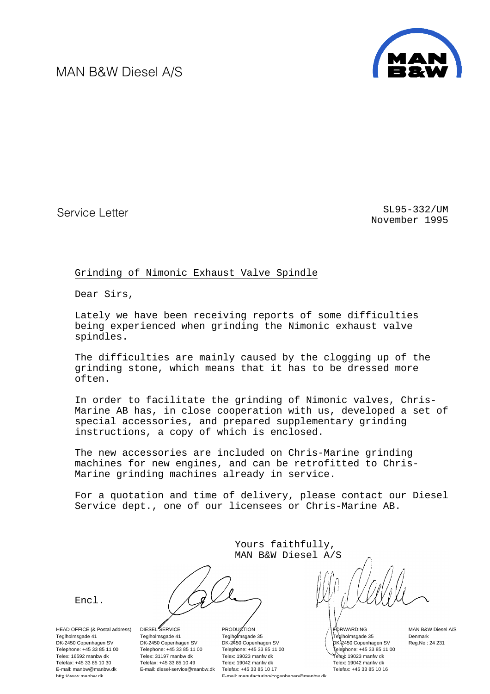MAN B&W Diesel A/S



Service Letter Service Letter SL95-332/UM November 1995

#### Grinding of Nimonic Exhaust Valve Spindle

Dear Sirs,

Lately we have been receiving reports of some difficulties being experienced when grinding the Nimonic exhaust valve spindles.

The difficulties are mainly caused by the clogging up of the grinding stone, which means that it has to be dressed more often.

In order to facilitate the grinding of Nimonic valves, Chris-Marine AB has, in close cooperation with us, developed a set of special accessories, and prepared supplementary grinding instructions, a copy of which is enclosed.

The new accessories are included on Chris-Marine grinding machines for new engines, and can be retrofitted to Chris-Marine grinding machines already in service.

For a quotation and time of delivery, please contact our Diesel Service dept., one of our licensees or Chris-Marine AB.

> Yours faithfully, MAN B&W Diesel A/S

[Encl.](#page-1-0)

HEAD OFFICE (& Postal address) Teglholmsgade 41 DK-2450 Copenhagen SV Telephone: +45 33 85 11 00 Telex: 16592 manbw dk Telefax: +45 33 85 10 30 E-mail: manbw@manbw.dk http://www.manhw.dk

DIESEL SERVICE Teglholmsgade 41 DK-2450 Copenhagen SV Telephone: +45 33 85 11 00 Telex: 31197 manbw dk Telefax: +45 33 85 10 49 E-mail: diesel-service@manbw.dk

PRODUCTION Teglholmsgade 35 DK-2450 Copenhagen SV Telephone: +45 33 85 11 00 Telex: 19023 manfw dk Telex: 19042 manfw dk Telefax: +45 33 85 10 17 E-mail: manufacturing/copenhagen@manbw dk

FORWARDING Teglholmsgade 35 DK-2450 Copenhagen SV Telephone: +45 33 85 11 00 Telex: 19023 manfw dk Telex: 19042 manfw dk Telefax: +45 33 85 10 16

MAN B&W Diesel A/S Denmark Reg.No.: 24 231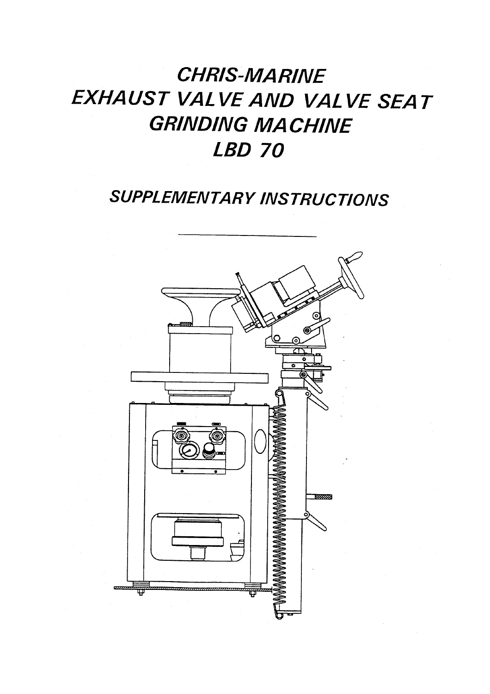# **CHRIS-MARINE** EXHAUST VALVE AND VALVE SEAT **GRINDING MACHINE LBD 70**

# **SUPPLEMENTARY INSTRUCTIONS**

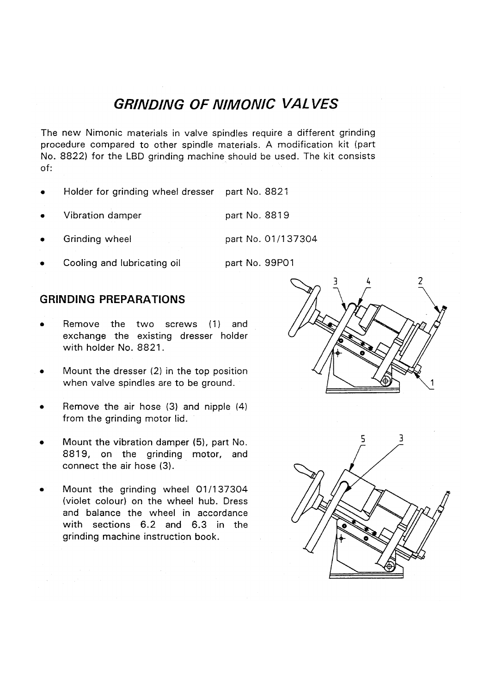### **GRINDING OF NIMONIC VALVES**

The new Nimonic materials in valve spindles require a different grinding procedure compared to other spindle materials. A modification kit (part No. 8822) for the LBD grinding machine should be used. The kit consists  $of:$ 

- Holder for grinding wheel dresser part No. 8821
- Vibration damper part No. 8819
- Grinding wheel part No. 01/137304
- Cooling and lubricating oil part No. 99P01

#### **GRINDING PREPARATIONS**

- Remove the two screws (1) and exchange the existing dresser holder with holder No. 8821.
- Mount the dresser (2) in the top position when valve spindles are to be ground.
- Remove the air hose (3) and nipple (4) from the grinding motor lid.
- Mount the vibration damper (5), part No. 8819, on the grinding motor, and connect the air hose (3).
- Mount the grinding wheel 01/137304 (violet colour) on the wheel hub. Dress and balance the wheel in accordance with sections 6.2 and 6.3 in the grinding machine instruction book.



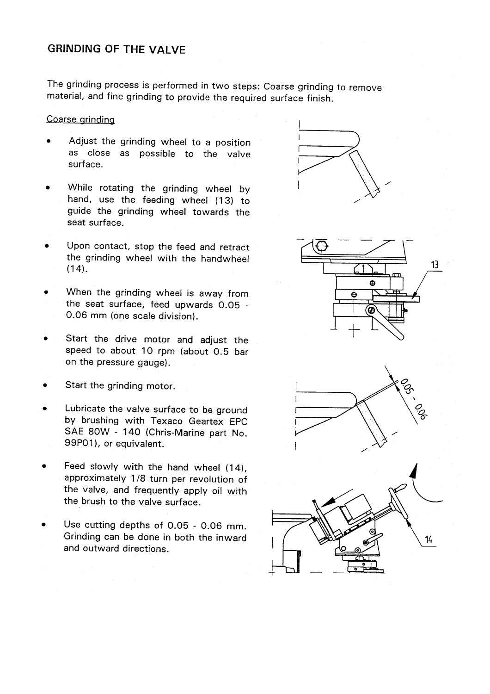#### **GRINDING OF THE VALVE**

The grinding process is performed in two steps: Coarse grinding to remove material, and fine grinding to provide the required surface finish.

#### Coarse grinding

- Adjust the grinding wheel to a position as close as possible to the valve surface.
- While rotating the grinding wheel by hand, use the feeding wheel (13) to guide the grinding wheel towards the seat surface.
- Upon contact, stop the feed and retract the grinding wheel with the handwheel  $(14)$ .
- When the grinding wheel is away from the seat surface, feed upwards 0.05 -0.06 mm (one scale division).
- Start the drive motor and adjust the speed to about 10 rpm (about 0.5 bar on the pressure gauge).
- Start the grinding motor.
- Lubricate the valve surface to be ground by brushing with Texaco Geartex EPC SAE 80W - 140 (Chris-Marine part No. 99P01), or equivalent.
- Feed slowly with the hand wheel (14), approximately 1/8 turn per revolution of the valve, and frequently apply oil with the brush to the valve surface.
- Use cutting depths of 0.05 0.06 mm. Grinding can be done in both the inward and outward directions.





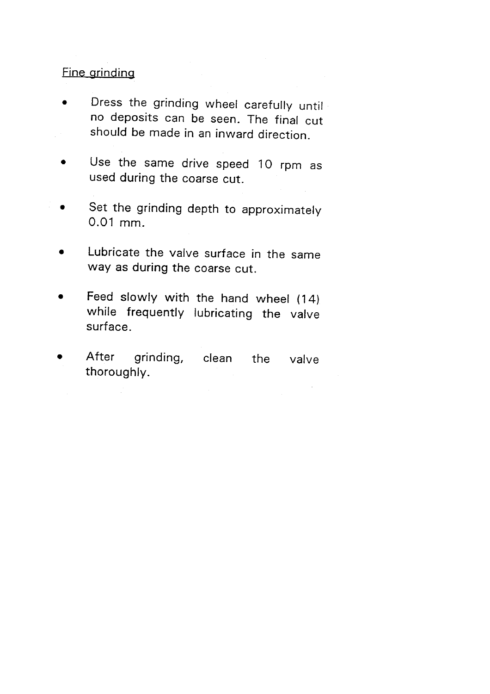### **Fine grinding**

- Dress the grinding wheel carefully until  $\bullet$ no deposits can be seen. The final cut should be made in an inward direction.
- Use the same drive speed 10 rpm as  $\bullet$ used during the coarse cut.
- Set the grinding depth to approximately 0.01 mm.
- Lubricate the valve surface in the same way as during the coarse cut.
- Feed slowly with the hand wheel (14)  $\bullet$ while frequently lubricating the valve surface.
- After grinding, clean the valve thoroughly.